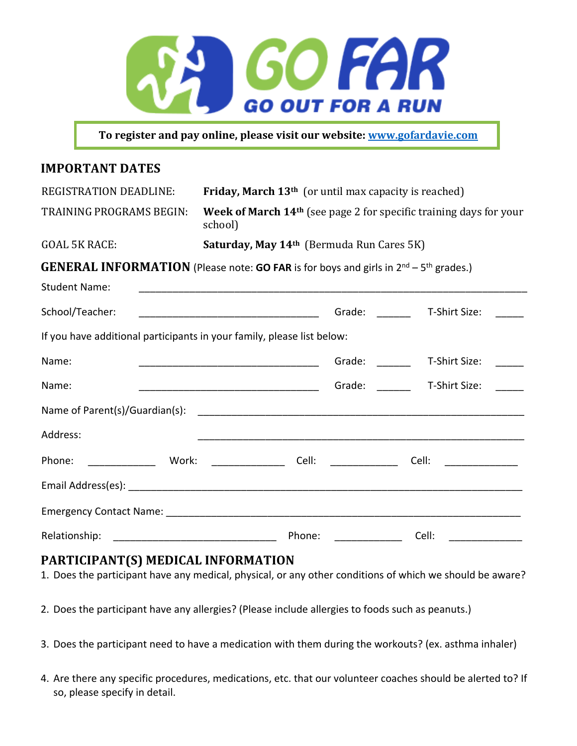

**To register and pay online, please visit our website: www.gofardavie.com** 

### **IMPORTANT DATES**

| <b>REGISTRATION DEADLINE:</b>                                                                                                                                                                                                                                                                                                                                                                                                              | Friday, March 13 <sup>th</sup> (or until max capacity is reached)                         |                                                                                                                                                                                                                                |                                                                                                                               |
|--------------------------------------------------------------------------------------------------------------------------------------------------------------------------------------------------------------------------------------------------------------------------------------------------------------------------------------------------------------------------------------------------------------------------------------------|-------------------------------------------------------------------------------------------|--------------------------------------------------------------------------------------------------------------------------------------------------------------------------------------------------------------------------------|-------------------------------------------------------------------------------------------------------------------------------|
| TRAINING PROGRAMS BEGIN:                                                                                                                                                                                                                                                                                                                                                                                                                   | Week of March 14 <sup>th</sup> (see page 2 for specific training days for your<br>school) |                                                                                                                                                                                                                                |                                                                                                                               |
| <b>GOAL 5K RACE:</b>                                                                                                                                                                                                                                                                                                                                                                                                                       | Saturday, May 14th (Bermuda Run Cares 5K)                                                 |                                                                                                                                                                                                                                |                                                                                                                               |
| <b>GENERAL INFORMATION</b> (Please note: GO FAR is for boys and girls in $2^{nd}$ – 5 <sup>th</sup> grades.)                                                                                                                                                                                                                                                                                                                               |                                                                                           |                                                                                                                                                                                                                                |                                                                                                                               |
| <b>Student Name:</b>                                                                                                                                                                                                                                                                                                                                                                                                                       |                                                                                           |                                                                                                                                                                                                                                |                                                                                                                               |
| School/Teacher:                                                                                                                                                                                                                                                                                                                                                                                                                            |                                                                                           |                                                                                                                                                                                                                                | Grade: T-Shirt Size:                                                                                                          |
| If you have additional participants in your family, please list below:                                                                                                                                                                                                                                                                                                                                                                     |                                                                                           |                                                                                                                                                                                                                                |                                                                                                                               |
| Name:                                                                                                                                                                                                                                                                                                                                                                                                                                      |                                                                                           | Grade: The Contract of the Contract of the Contract of the Contract of the Contract of the Contract of the Contract of the Contract of the Contract of the Contract of the Contract of the Contract of the Contract of the Con | T-Shirt Size:                                                                                                                 |
| Name:                                                                                                                                                                                                                                                                                                                                                                                                                                      |                                                                                           |                                                                                                                                                                                                                                | Grade: T-Shirt Size:                                                                                                          |
|                                                                                                                                                                                                                                                                                                                                                                                                                                            |                                                                                           |                                                                                                                                                                                                                                |                                                                                                                               |
| Address:                                                                                                                                                                                                                                                                                                                                                                                                                                   |                                                                                           |                                                                                                                                                                                                                                |                                                                                                                               |
| $\overline{\phantom{a}}$ . The contract of $\overline{\phantom{a}}$ , $\overline{\phantom{a}}$ , $\overline{\phantom{a}}$ , $\overline{\phantom{a}}$ , $\overline{\phantom{a}}$ , $\overline{\phantom{a}}$ , $\overline{\phantom{a}}$ , $\overline{\phantom{a}}$ , $\overline{\phantom{a}}$ , $\overline{\phantom{a}}$ , $\overline{\phantom{a}}$ , $\overline{\phantom{a}}$ , $\overline{\phantom{a}}$ , $\overline{\phantom{a$<br>Phone: | Work: ________________<br>Cell:                                                           |                                                                                                                                                                                                                                | Cell:<br><u> 1980 - Jan Stein Stein Stein Stein Stein Stein Stein Stein Stein Stein Stein Stein Stein Stein Stein Stein S</u> |
|                                                                                                                                                                                                                                                                                                                                                                                                                                            |                                                                                           |                                                                                                                                                                                                                                |                                                                                                                               |
|                                                                                                                                                                                                                                                                                                                                                                                                                                            |                                                                                           |                                                                                                                                                                                                                                |                                                                                                                               |
| Relationship:                                                                                                                                                                                                                                                                                                                                                                                                                              | Phone:                                                                                    |                                                                                                                                                                                                                                | Cell:                                                                                                                         |

# **PARTICIPANT(S) MEDICAL INFORMATION**

- 1. Does the participant have any medical, physical, or any other conditions of which we should be aware?
- 2. Does the participant have any allergies? (Please include allergies to foods such as peanuts.)
- 3. Does the participant need to have a medication with them during the workouts? (ex. asthma inhaler)
- 4. Are there any specific procedures, medications, etc. that our volunteer coaches should be alerted to? If so, please specify in detail.